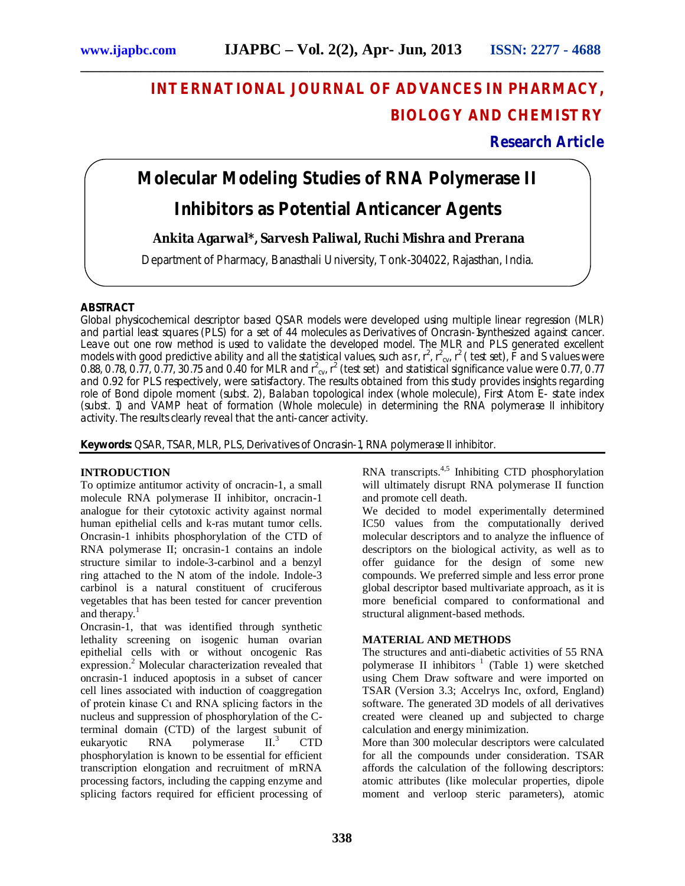# **INTERNATIONAL JOURNAL OF ADVANCES IN PHARMACY, BIOLOGY AND CHEMISTRY**

### **Research Article**

# **Molecular Modeling Studies of RNA Polymerase II**

**\_\_\_\_\_\_\_\_\_\_\_\_\_\_\_\_\_\_\_\_\_\_\_\_\_\_\_\_\_\_\_\_\_\_\_\_\_\_\_\_\_\_\_\_\_\_\_\_\_\_\_\_\_\_\_\_\_\_\_\_\_\_\_\_\_\_\_\_\_\_\_\_\_\_\_\_\_\_**

## **Inhibitors as Potential Anticancer Agents**

#### **Ankita Agarwal\*, Sarvesh Paliwal, Ruchi Mishra and Prerana**

Department of Pharmacy, Banasthali University, Tonk-304022, Rajasthan, India.

#### **ABSTRACT**

Global physicochemical descriptor based QSAR models were developed using multiple linear regression (MLR) and partial least squares (PLS) for a set of 44 molecules as Derivatives of Oncrasin-1synthesized against cancer. Leave out one row method is used to validate the developed model. The MLR and PLS generated excellent models with good predictive ability and all the statistical values, such as r, r<sup>2</sup>, r<sup>2</sup><sub>cv</sub>, r<sup>2</sup> (test set), F and S values were 0.88, 0.78, 0.77, 0.77, 30.75 and 0.40 for MLR and  $r^2_{\text{cv}}$   $r^2$  (test set) and statistical significance value were 0.77, 0.77 and 0.92 for PLS respectively, were satisfactory. The results obtained from this study provides insights regarding role of Bond dipole moment (subst. 2), Balaban topological index (whole molecule), First Atom E- state index (subst. 1) and VAMP heat of formation (Whole molecule) in determining the RNA polymerase II inhibitory activity. The results clearly reveal that the anti-cancer activity.

**Keywords:** QSAR, TSAR, MLR, PLS, Derivatives of Oncrasin-1, RNA polymerase II inhibitor.

#### **INTRODUCTION**

To optimize antitumor activity of oncracin-1, a small molecule RNA polymerase II inhibitor, oncracin-1 analogue for their cytotoxic activity against normal human epithelial cells and k-ras mutant tumor cells. Oncrasin-1 inhibits phosphorylation of the CTD of RNA polymerase II; oncrasin-1 contains an indole structure similar to indole-3-carbinol and a benzyl ring attached to the N atom of the indole. Indole-3 carbinol is a natural constituent of cruciferous vegetables that has been tested for cancer prevention and therapy. $<sup>1</sup>$ </sup>

Oncrasin-1, that was identified through synthetic lethality screening on isogenic human ovarian epithelial cells with or without oncogenic Ras expression.<sup>2</sup> Molecular characterization revealed that oncrasin-1 induced apoptosis in a subset of cancer cell lines associated with induction of coaggregation of protein kinase Cι and RNA splicing factors in the nucleus and suppression of phosphorylation of the Cterminal domain (CTD) of the largest subunit of<br>eukaryotic  $RNA$  polymerase  $H^3$  CTD eukaryotic RNA polymerase  $II<sup>3</sup>$  CTD phosphorylation is known to be essential for efficient transcription elongation and recruitment of mRNA processing factors, including the capping enzyme and splicing factors required for efficient processing of

RNA transcripts. $4,5$  Inhibiting CTD phosphorylation will ultimately disrupt RNA polymerase II function and promote cell death.

We decided to model experimentally determined IC50 values from the computationally derived molecular descriptors and to analyze the influence of descriptors on the biological activity, as well as to offer guidance for the design of some new compounds. We preferred simple and less error prone global descriptor based multivariate approach, as it is more beneficial compared to conformational and structural alignment-based methods.

#### **MATERIAL AND METHODS**

The structures and anti-diabetic activities of 55 RNA polymerase II inhibitors <sup>1</sup> (Table 1) were sketched using Chem Draw software and were imported on TSAR (Version 3.3; Accelrys Inc, oxford, England) software. The generated 3D models of all derivatives created were cleaned up and subjected to charge calculation and energy minimization.

More than 300 molecular descriptors were calculated for all the compounds under consideration. TSAR affords the calculation of the following descriptors: atomic attributes (like molecular properties, dipole moment and verloop steric parameters), atomic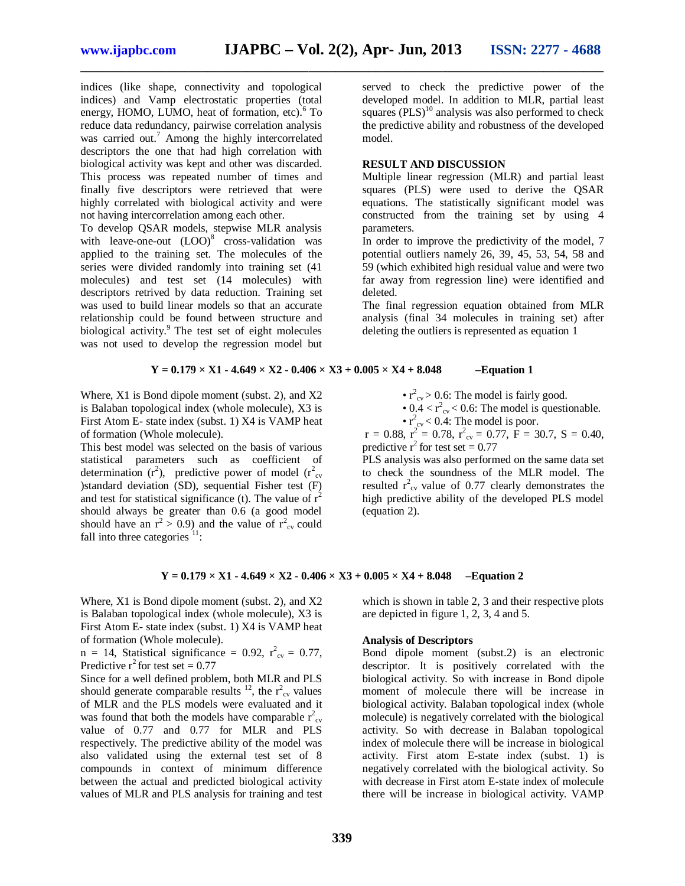indices (like shape, connectivity and topological indices) and Vamp electrostatic properties (total energy, HOMO, LUMO, heat of formation, etc). <sup>6</sup> To reduce data redundancy, pairwise correlation analysis was carried out.<sup>7</sup> Among the highly intercorrelated descriptors the one that had high correlation with biological activity was kept and other was discarded. This process was repeated number of times and finally five descriptors were retrieved that were highly correlated with biological activity and were not having intercorrelation among each other.

To develop QSAR models, stepwise MLR analysis with leave-one-out  $(LOO)^8$  cross-validation was applied to the training set. The molecules of the series were divided randomly into training set (41 molecules) and test set (14 molecules) with descriptors retrived by data reduction. Training set was used to build linear models so that an accurate relationship could be found between structure and biological activity. <sup>9</sup> The test set of eight molecules was not used to develop the regression model but

served to check the predictive power of the developed model. In addition to MLR, partial least squares  $(PLS)^{10}$  analysis was also performed to check the predictive ability and robustness of the developed model.

#### **RESULT AND DISCUSSION**

Multiple linear regression (MLR) and partial least squares (PLS) were used to derive the QSAR equations. The statistically significant model was constructed from the training set by using 4 parameters.

In order to improve the predictivity of the model, 7 potential outliers namely 26, 39, 45, 53, 54, 58 and 59 (which exhibited high residual value and were two far away from regression line) were identified and deleted.

The final regression equation obtained from MLR analysis (final 34 molecules in training set) after deleting the outliers is represented as equation 1

#### $Y = 0.179 \times X1 - 4.649 \times X2 - 0.406 \times X3 + 0.005 \times X4 + 8.048$  –Equation 1

**\_\_\_\_\_\_\_\_\_\_\_\_\_\_\_\_\_\_\_\_\_\_\_\_\_\_\_\_\_\_\_\_\_\_\_\_\_\_\_\_\_\_\_\_\_\_\_\_\_\_\_\_\_\_\_\_\_\_\_\_\_\_\_\_\_\_\_\_\_\_\_\_\_\_\_\_\_\_**

Where, X1 is Bond dipole moment (subst. 2), and X2 is Balaban topological index (whole molecule), X3 is First Atom E- state index (subst. 1) X4 is VAMP heat of formation (Whole molecule).

This best model was selected on the basis of various statistical parameters such as coefficient of determination ( $r^2$ ), predictive power of model ( $r^2$ <sub>cv</sub> )standard deviation (SD), sequential Fisher test (F) and test for statistical significance (t). The value of  $r^2$ should always be greater than 0.6 (a good model should have an  $r^2 > 0.9$ ) and the value of  $r^2_{\text{cv}}$  could fall into three categories  $11$ :

•  $r^2_{\rm cv}$  > 0.6: The model is fairly good.

•  $0.4 < r^2_{\text{cv}} < 0.6$ : The model is questionable.

•  $r_{cv}^2$  < 0.4: The model is poor.

 $r = 0.88$ ,  $r^2 = 0.78$ ,  $r^2_{\text{cv}} = 0.77$ ,  $\overline{F} = 30.7$ ,  $S = 0.40$ , predictive  $r^2$  for test set = 0.77

PLS analysis was also performed on the same data set to check the soundness of the MLR model. The resulted  $r^2_{\text{cv}}$  value of 0.77 clearly demonstrates the high predictive ability of the developed PLS model (equation 2).

#### $Y = 0.179 \times X1 - 4.649 \times X2 - 0.406 \times X3 + 0.005 \times X4 + 8.048$  –Equation 2

Where, X1 is Bond dipole moment (subst. 2), and X2 is Balaban topological index (whole molecule), X3 is First Atom E- state index (subst. 1) X4 is VAMP heat of formation (Whole molecule).

 $n = 14$ , Statistical significance = 0.92,  $r_{cv}^2 = 0.77$ , Predictive  $r^2$  for test set = 0.77

Since for a well defined problem, both MLR and PLS should generate comparable results  $^{12}$ , the  $r^2_{\text{cv}}$  values of MLR and the PLS models were evaluated and it was found that both the models have comparable  $r_{cv}^2$ value of 0.77 and 0.77 for MLR and PLS respectively. The predictive ability of the model was also validated using the external test set of 8 compounds in context of minimum difference between the actual and predicted biological activity values of MLR and PLS analysis for training and test

which is shown in table 2, 3 and their respective plots are depicted in figure 1, 2, 3, 4 and 5.

#### **Analysis of Descriptors**

Bond dipole moment (subst.2) is an electronic descriptor. It is positively correlated with the biological activity. So with increase in Bond dipole moment of molecule there will be increase in biological activity. Balaban topological index (whole molecule) is negatively correlated with the biological activity. So with decrease in Balaban topological index of molecule there will be increase in biological activity. First atom E-state index (subst. 1) is negatively correlated with the biological activity. So with decrease in First atom E-state index of molecule there will be increase in biological activity. VAMP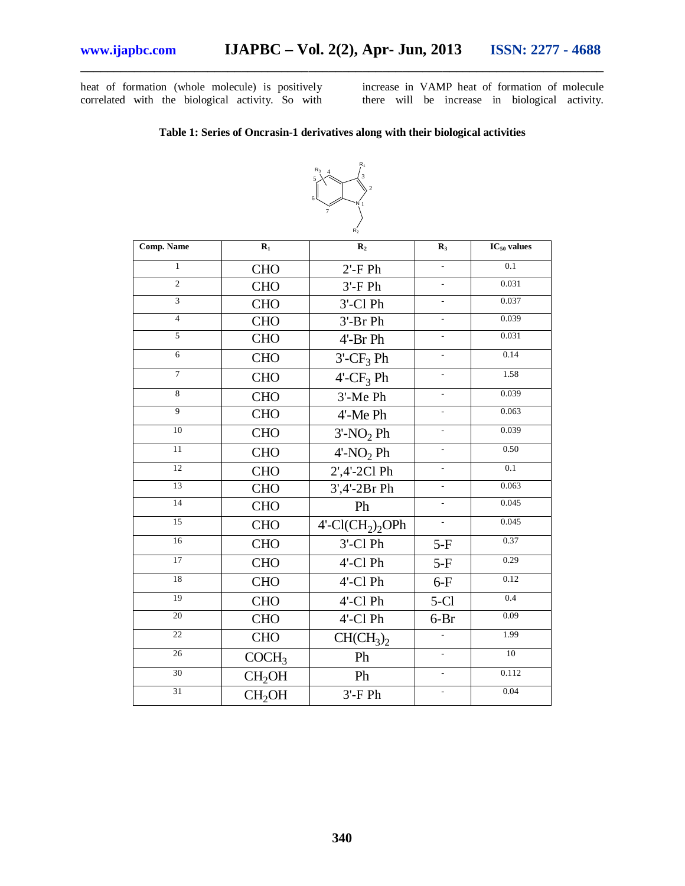heat of formation (whole molecule) is positively correlated with the biological activity. So with

increase in VAMP heat of formation of molecule there will be increase in biological activity.

#### **Table 1: Series of Oncrasin-1 derivatives along with their biological activities**

**\_\_\_\_\_\_\_\_\_\_\_\_\_\_\_\_\_\_\_\_\_\_\_\_\_\_\_\_\_\_\_\_\_\_\_\_\_\_\_\_\_\_\_\_\_\_\_\_\_\_\_\_\_\_\_\_\_\_\_\_\_\_\_\_\_\_\_\_\_\_\_\_\_\_\_\_\_\_**



| R <sub>2</sub>    |                    |                          |                          |                  |  |
|-------------------|--------------------|--------------------------|--------------------------|------------------|--|
| <b>Comp. Name</b> | $\mathbf{R}_1$     | $\mathbf{R}_2$           | $\mathbf{R}_3$           | $IC_{50}$ values |  |
| $\mathbf{1}$      | <b>CHO</b>         | $2'$ -FPh                | $\overline{a}$           | 0.1              |  |
| $\overline{c}$    | <b>CHO</b>         | $3'$ -FPh                | $\overline{a}$           | 0.031            |  |
| 3                 | <b>CHO</b>         | 3'-Cl Ph                 | $\overline{\phantom{0}}$ | 0.037            |  |
| $\overline{4}$    | <b>CHO</b>         | 3'-Br Ph                 | $\overline{\phantom{a}}$ | 0.039            |  |
| $\overline{5}$    | <b>CHO</b>         | 4'-Br Ph                 | $\overline{a}$           | 0.031            |  |
| $\overline{6}$    | <b>CHO</b>         | $3'-CF_3$ Ph             | $\overline{a}$           | 0.14             |  |
| $\overline{7}$    | <b>CHO</b>         | $4'-CF_3$ Ph             | $\overline{a}$           | 1.58             |  |
| $\overline{8}$    | <b>CHO</b>         | 3'-Me Ph                 | $\overline{a}$           | 0.039            |  |
| $\overline{9}$    | <b>CHO</b>         | 4'-Me Ph                 | $\overline{a}$           | 0.063            |  |
| 10                | <b>CHO</b>         | $3'-NO2 Ph$              | $\overline{a}$           | 0.039            |  |
| $\overline{11}$   | <b>CHO</b>         | $4'$ -NO <sub>2</sub> Ph | L.                       | 0.50             |  |
| $\overline{12}$   | <b>CHO</b>         | 2',4'-2Cl Ph             | $\overline{a}$           | $\overline{0.1}$ |  |
| 13                | <b>CHO</b>         | 3',4'-2Br Ph             | $\overline{a}$           | 0.063            |  |
| 14                | <b>CHO</b>         | Ph                       | L,                       | 0.045            |  |
| 15                | <b>CHO</b>         | $4'-Cl(CH2)2OPh$         | $\overline{a}$           | 0.045            |  |
| 16                | <b>CHO</b>         | 3'-Cl Ph                 | $5-F$                    | 0.37             |  |
| 17                | <b>CHO</b>         | 4'-Cl Ph                 | $5-F$                    | 0.29             |  |
| 18                | <b>CHO</b>         | 4'-Cl Ph                 | $6-F$                    | 0.12             |  |
| 19                | <b>CHO</b>         | 4'-Cl Ph                 | $5-Cl$                   | 0.4              |  |
| 20                | <b>CHO</b>         | 4'-Cl Ph                 | $6-Br$                   | 0.09             |  |
| 22                | <b>CHO</b>         | $CH(CH_3)_2$             |                          | 1.99             |  |
| $\overline{26}$   | COCH <sub>3</sub>  | Ph                       | $\overline{a}$           | 10               |  |
| 30                | CH <sub>2</sub> OH | Ph                       | $\overline{a}$           | 0.112            |  |
| 31                | CH <sub>2</sub> OH | $3'$ -F Ph               | $\overline{a}$           | 0.04             |  |
|                   |                    |                          |                          |                  |  |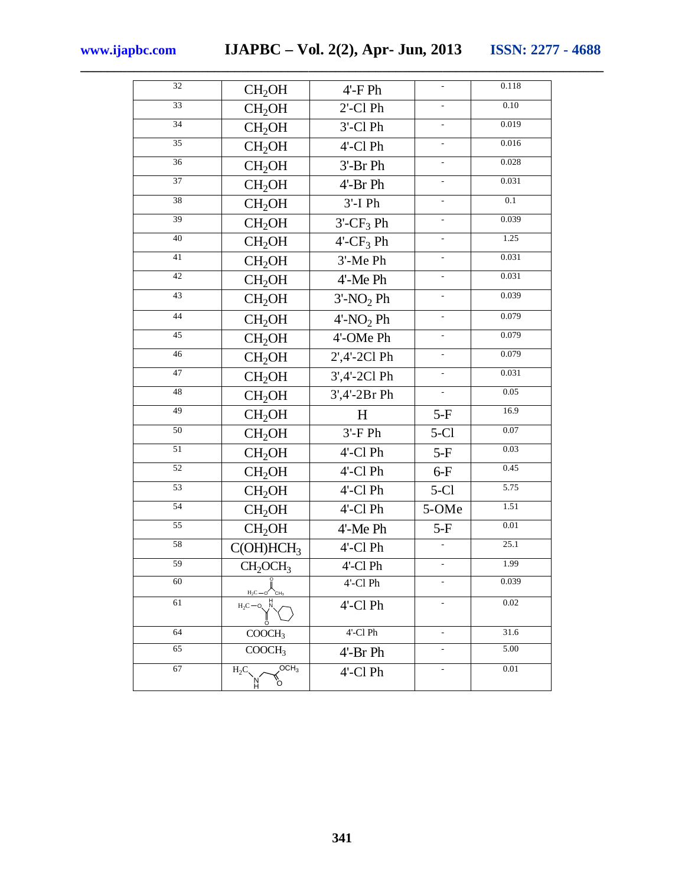| $\overline{32}$ | CH <sub>2</sub> OH                          | $4'$ -FPh                |                          | 0.118 |
|-----------------|---------------------------------------------|--------------------------|--------------------------|-------|
| 33              | CH <sub>2</sub> OH                          | $2'$ -Cl Ph              | $\overline{a}$           | 0.10  |
| 34              | CH <sub>2</sub> OH                          | $3'$ -Cl $Ph$            | $\frac{1}{2}$            | 0.019 |
| 35              | CH <sub>2</sub> OH                          | 4'-Cl Ph                 | $\overline{\phantom{a}}$ | 0.016 |
| 36              | CH <sub>2</sub> OH                          | 3'-Br Ph                 | $\overline{\phantom{a}}$ | 0.028 |
| 37              | CH <sub>2</sub> OH                          | 4'-Br Ph                 | $\overline{a}$           | 0.031 |
| 38              | CH <sub>2</sub> OH                          | $3'$ -IPh                | $\overline{\phantom{a}}$ | 0.1   |
| 39              | CH <sub>2</sub> OH                          | $3'-CF_3$ Ph             | $\mathcal{L}^{\pm}$      | 0.039 |
| 40              | CH <sub>2</sub> OH                          | $4'-CF_3$ Ph             | $\overline{a}$           | 1.25  |
| 41              | CH <sub>2</sub> OH                          | 3'-Me Ph                 | $\overline{\phantom{a}}$ | 0.031 |
| 42              | CH <sub>2</sub> OH                          | 4'-Me Ph                 | $\overline{\phantom{a}}$ | 0.031 |
| 43              | CH <sub>2</sub> OH                          | $3'$ -NO <sub>2</sub> Ph |                          | 0.039 |
| 44              | CH <sub>2</sub> OH                          | $4'$ -NO <sub>2</sub> Ph |                          | 0.079 |
| 45              | CH <sub>2</sub> OH                          | 4'-OMe Ph                | $\overline{\phantom{a}}$ | 0.079 |
| 46              | CH <sub>2</sub> OH                          | 2',4'-2Cl Ph             | $\overline{a}$           | 0.079 |
| $\overline{47}$ | CH <sub>2</sub> OH                          | 3',4'-2Cl Ph             | $\blacksquare$           | 0.031 |
| 48              | CH <sub>2</sub> OH                          | 3',4'-2Br Ph             | $\overline{\phantom{a}}$ | 0.05  |
| 49              | CH <sub>2</sub> OH                          | H                        | $5-F$                    | 16.9  |
| 50              | CH <sub>2</sub> OH                          | $3'$ -FPh                | $5-C1$                   | 0.07  |
| $\overline{51}$ | CH <sub>2</sub> OH                          | 4'-Cl Ph                 | $5-F$                    | 0.03  |
| 52              | CH <sub>2</sub> OH                          | 4'-Cl Ph                 | $6-F$                    | 0.45  |
| 53              | CH <sub>2</sub> OH                          | 4'-Cl Ph                 | $5-C1$                   | 5.75  |
| 54              | CH <sub>2</sub> OH                          | 4'-Cl Ph                 | 5-OMe                    | 1.51  |
| $\overline{55}$ | CH <sub>2</sub> OH                          | 4'-Me Ph                 | $5-F$                    | 0.01  |
| 58              | C(OH)HCH <sub>3</sub>                       | 4'-Cl Ph                 |                          | 25.1  |
| 59              | CH <sub>2</sub> OCH <sub>3</sub>            | 4'-Cl Ph                 |                          | 1.99  |
| 60              | $H_2C$ - O $C$ $H_3$                        | 4'-Cl Ph                 | $\overline{\phantom{a}}$ | 0.039 |
| 61              | $H_2C = 0$ , $\overline{N}$<br>ö            | 4'-Cl Ph                 | $\mathbb{L}$             | 0.02  |
| 64              | COOCH <sub>3</sub>                          | $4'$ -Cl $Ph$            | $\overline{\phantom{a}}$ | 31.6  |
| 65              | COOCH <sub>3</sub>                          | 4'-Br Ph                 | $\overline{\phantom{a}}$ | 5.00  |
| 67              | OCH <sub>3</sub><br>$H_2C$<br>b"<br>'N<br>H | 4'-Cl Ph                 | $\overline{\phantom{a}}$ | 0.01  |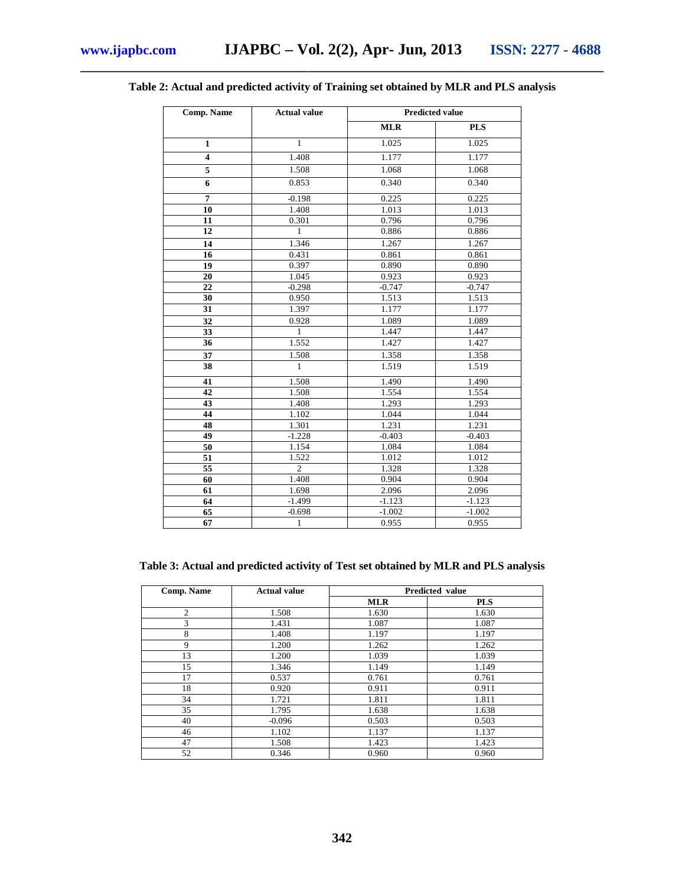| <b>Comp. Name</b>       | <b>Actual value</b> | <b>Predicted value</b> |            |
|-------------------------|---------------------|------------------------|------------|
|                         |                     | <b>MLR</b>             | <b>PLS</b> |
| $\mathbf{1}$            | $\mathbf{1}$        | 1.025                  | 1.025      |
| $\overline{\mathbf{4}}$ | 1.408               | 1.177                  | 1.177      |
| 5                       | 1.508               | 1.068                  | 1.068      |
| 6                       | 0.853               | 0.340                  | 0.340      |
| 7                       | $-0.198$            | 0.225                  | 0.225      |
| 10                      | 1.408               | 1.013                  | 1.013      |
| 11                      | 0.301               | 0.796                  | 0.796      |
| 12                      | 1                   | 0.886                  | 0.886      |
| 14                      | 1.346               | 1.267                  | 1.267      |
| 16                      | 0.431               | 0.861                  | 0.861      |
| 19                      | 0.397               | 0.890                  | 0.890      |
| 20                      | 1.045               | 0.923                  | 0.923      |
| 22                      | $-0.298$            | $-0.747$               | $-0.747$   |
| 30                      | 0.950               | 1.513                  | 1.513      |
| 31                      | 1.397               | 1.177                  | 1.177      |
| 32                      | 0.928               | 1.089                  | 1.089      |
| 33                      | 1                   | 1.447                  | 1.447      |
| 36                      | 1.552               | 1.427                  | 1.427      |
| 37                      | 1.508               | 1.358                  | 1.358      |
| 38                      | $\mathbf{1}$        | 1.519                  | 1.519      |
| 41                      | 1.508               | 1.490                  | 1.490      |
| 42                      | 1.508               | 1.554                  | 1.554      |
| 43                      | 1.408               | 1.293                  | 1.293      |
| 44                      | 1.102               | 1.044                  | 1.044      |
| 48                      | 1.301               | 1.231                  | 1.231      |
| 49                      | $-1.228$            | $-0.403$               | $-0.403$   |
| 50                      | 1.154               | 1.084                  | 1.084      |
| 51                      | 1.522               | 1.012                  | 1.012      |
| 55                      | $\overline{2}$      | 1.328                  | 1.328      |
| 60                      | 1.408               | 0.904                  | 0.904      |
| 61                      | 1.698               | 2.096                  | 2.096      |
| 64                      | $-1.499$            | $-1.123$               | $-1.123$   |
| 65                      | $-0.698$            | $-1.002$               | $-1.002$   |
| 67                      | $\mathbf{1}$        | 0.955                  | 0.955      |

### **\_\_\_\_\_\_\_\_\_\_\_\_\_\_\_\_\_\_\_\_\_\_\_\_\_\_\_\_\_\_\_\_\_\_\_\_\_\_\_\_\_\_\_\_\_\_\_\_\_\_\_\_\_\_\_\_\_\_\_\_\_\_\_\_\_\_\_\_\_\_\_\_\_\_\_\_\_\_ Table 2: Actual and predicted activity of Training set obtained by MLR and PLS analysis**

**Table 3: Actual and predicted activity of Test set obtained by MLR and PLS analysis**

| Comp. Name     | <b>Actual value</b> |            | Predicted value |  |  |
|----------------|---------------------|------------|-----------------|--|--|
|                |                     | <b>MLR</b> | <b>PLS</b>      |  |  |
| $\overline{2}$ | 1.508               | 1.630      | 1.630           |  |  |
| 3              | 1.431               | 1.087      | 1.087           |  |  |
| 8              | 1.408               | 1.197      | 1.197           |  |  |
| 9              | 1.200               | 1.262      | 1.262           |  |  |
| 13             | 1.200               | 1.039      | 1.039           |  |  |
| 15             | 1.346               | 1.149      | 1.149           |  |  |
| 17             | 0.537               | 0.761      | 0.761           |  |  |
| 18             | 0.920               | 0.911      | 0.911           |  |  |
| 34             | 1.721               | 1.811      | 1.811           |  |  |
| 35             | 1.795               | 1.638      | 1.638           |  |  |
| 40             | $-0.096$            | 0.503      | 0.503           |  |  |
| 46             | 1.102               | 1.137      | 1.137           |  |  |
| 47             | 1.508               | 1.423      | 1.423           |  |  |
| 52             | 0.346               | 0.960      | 0.960           |  |  |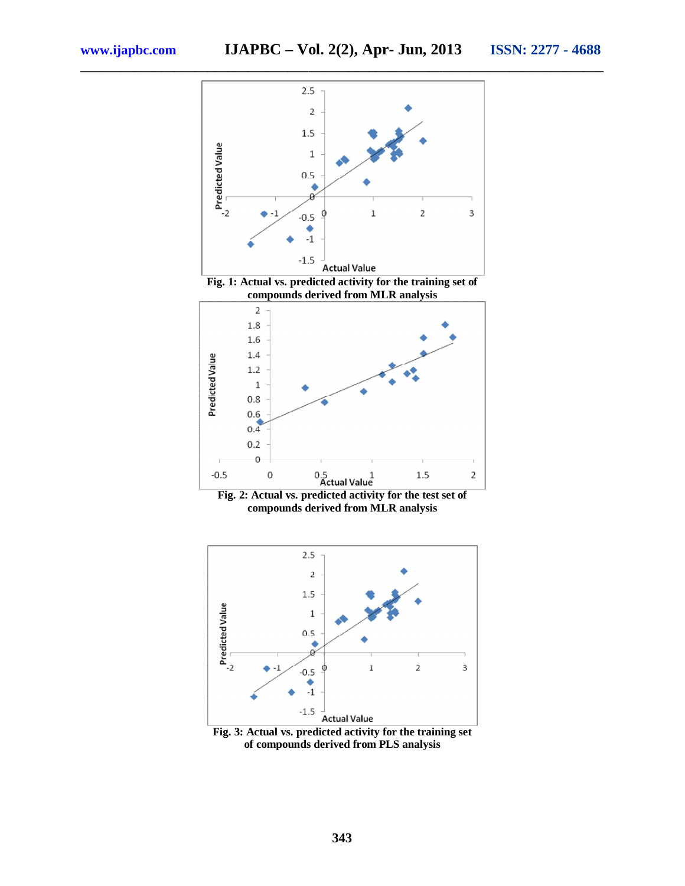**\_\_\_\_\_\_\_\_\_\_\_\_\_\_\_\_\_\_\_\_\_\_\_\_\_\_\_\_\_\_\_\_\_\_\_\_\_\_\_\_\_\_\_\_\_\_\_\_\_\_\_\_\_\_\_\_\_\_\_\_\_\_\_\_\_\_\_\_\_\_\_\_\_\_\_\_\_\_**







**Fig. 3: Actual vs. predicted activity for the training set of compounds derived from PLS analysis**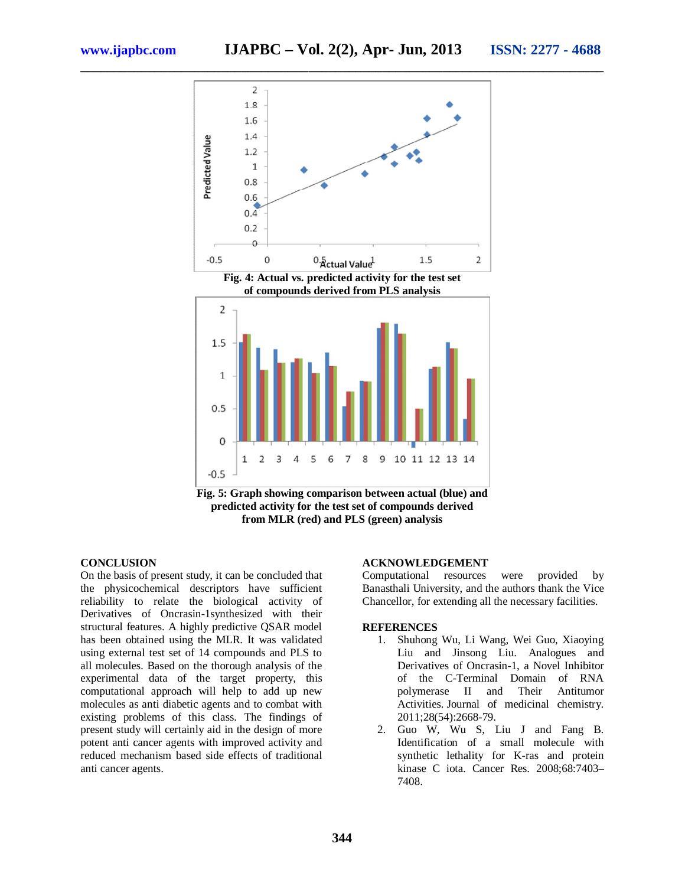

**Fig. 5: Graph showing comparison between actual (blue) and predicted activity for the test set of compounds derived from MLR (red) and PLS (green) analysis** 

#### **CONCLUSION**

On the basis of present study, it can be concluded that the physicochemical descriptors have sufficient reliability to relate the biological activity of Derivatives of Oncrasin-1synthesized with their structural features. A highly predictive QSAR model has been obtained using the MLR. It was validated using external test set of 14 compounds and PLS to all molecules. Based on the thorough analysis of the experimental data of the target property, this computational approach will help to add up new molecules as anti diabetic agents and to combat with existing problems of this class. The findings of present study will certainly aid in the design of more potent anti cancer agents with improved activity and reduced mechanism based side effects of traditional anti cancer agents.

#### **ACKNOWLEDGEMENT**

Computational resources were provided by Banasthali University, and the authors thank the Vice Chancellor, for extending all the necessary facilities.

#### **REFERENCES**

- 1. Shuhong Wu, Li Wang, Wei Guo, Xiaoying Liu and Jinsong Liu. Analogues and Derivatives of Oncrasin-1, a Novel Inhibitor of the C-Terminal Domain of RNA polymerase II and Their Antitumor Activities. Journal of medicinal chemistry. 2011;28(54):2668-79.
- 2. Guo W, Wu S, Liu J and Fang B. Identification of a small molecule with synthetic lethality for K-ras and protein kinase C iota. Cancer Res. 2008;68:7403– 7408.